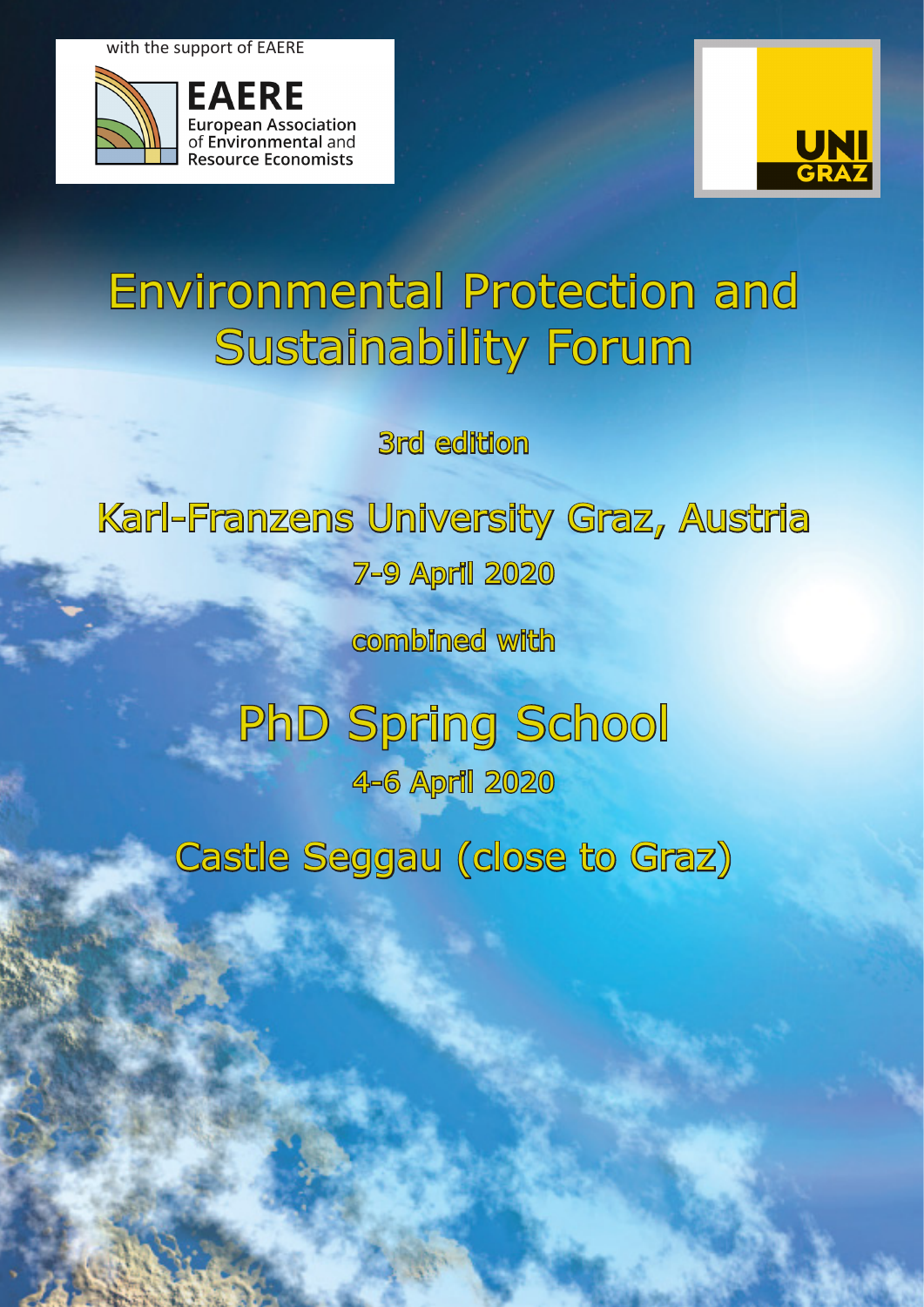with the support of EAERE

**EAERE** 

**European Association** of Environmental and



# Environmental Protection and Sustainability Forum

3rd edition

# Karl-Franzens University Graz, Austria 7-9 April 2020

combined with

PhD Spring School 4-6 April 2020

Castle Seggau (close to Graz)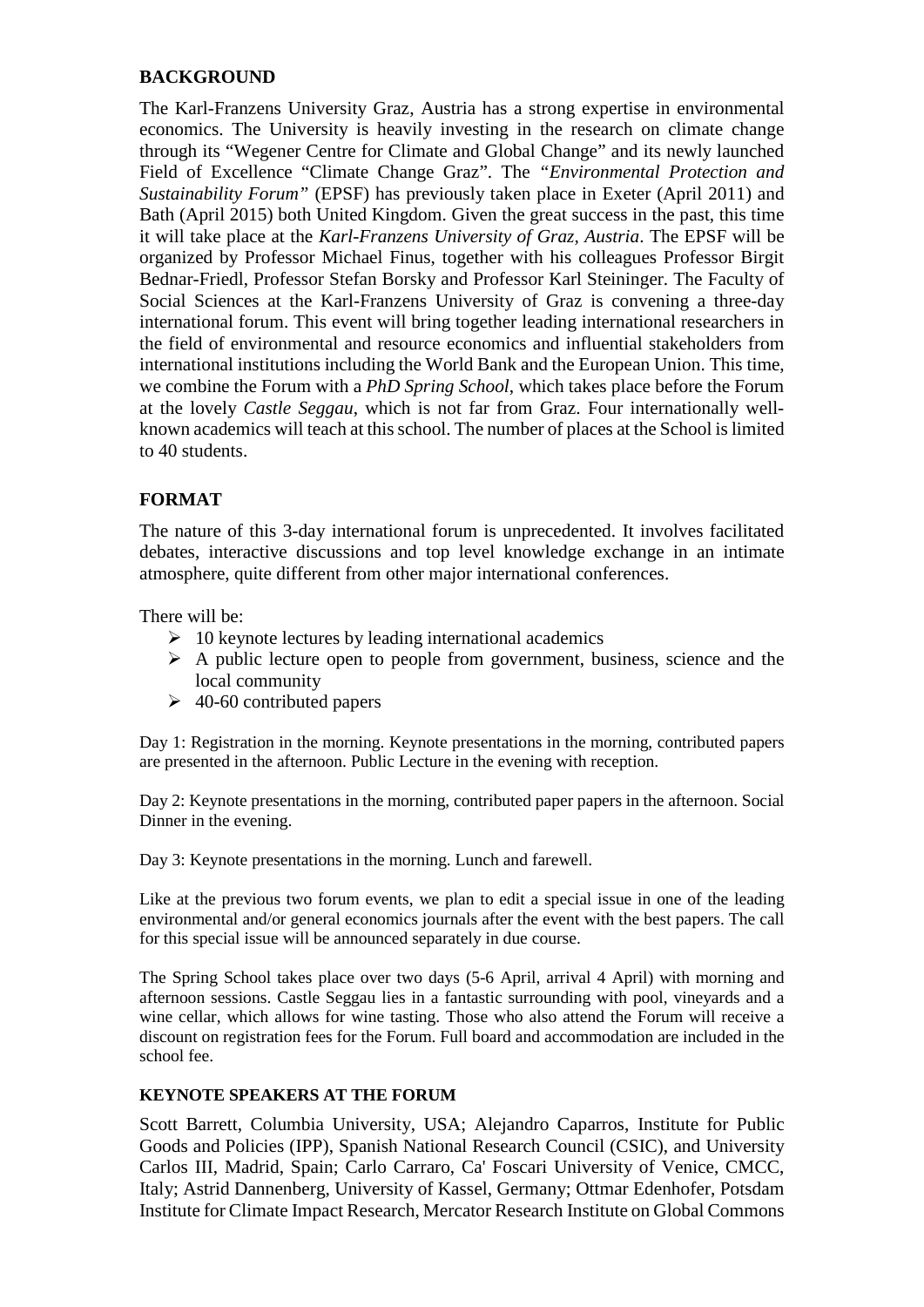# **BACKGROUND**

The Karl-Franzens University Graz, Austria has a strong expertise in environmental economics. The University is heavily investing in the research on climate change through its "Wegener Centre for Climate and Global Change" and its newly launched Field of Excellence "Climate Change Graz". The *"Environmental Protection and Sustainability Forum"* (EPSF) has previously taken place in Exeter (April 2011) and Bath (April 2015) both United Kingdom. Given the great success in the past, this time it will take place at the *Karl-Franzens University of Graz, Austria*. The EPSF will be organized by Professor Michael Finus, together with his colleagues Professor Birgit Bednar-Friedl, Professor Stefan Borsky and Professor Karl Steininger. The Faculty of Social Sciences at the Karl-Franzens University of Graz is convening a three-day international forum. This event will bring together leading international researchers in the field of environmental and resource economics and influential stakeholders from international institutions including the World Bank and the European Union. This time, we combine the Forum with a *PhD Spring School*, which takes place before the Forum at the lovely *Castle Seggau*, which is not far from Graz. Four internationally wellknown academics will teach at this school. The number of places at the School is limited to 40 students.

# **FORMAT**

The nature of this 3-day international forum is unprecedented. It involves facilitated debates, interactive discussions and top level knowledge exchange in an intimate atmosphere, quite different from other major international conferences.

There will be:

- $\geq 10$  keynote lectures by leading international academics
- $\triangleright$  A public lecture open to people from government, business, science and the local community
- $\geq 40-60$  contributed papers

Day 1: Registration in the morning. Keynote presentations in the morning, contributed papers are presented in the afternoon. Public Lecture in the evening with reception.

Day 2: Keynote presentations in the morning, contributed paper papers in the afternoon. Social Dinner in the evening.

Day 3: Keynote presentations in the morning. Lunch and farewell.

Like at the previous two forum events, we plan to edit a special issue in one of the leading environmental and/or general economics journals after the event with the best papers. The call for this special issue will be announced separately in due course.

The Spring School takes place over two days (5-6 April, arrival 4 April) with morning and afternoon sessions. Castle Seggau lies in a fantastic surrounding with pool, vineyards and a wine cellar, which allows for wine tasting. Those who also attend the Forum will receive a discount on registration fees for the Forum. Full board and accommodation are included in the school fee.

#### **KEYNOTE SPEAKERS AT THE FORUM**

Scott Barrett, Columbia University, USA; Alejandro Caparros, Institute for Public Goods and Policies (IPP), Spanish National Research Council (CSIC), and University Carlos III, Madrid, Spain; Carlo Carraro, Ca' Foscari University of Venice, CMCC, Italy; Astrid Dannenberg, University of Kassel, Germany; Ottmar Edenhofer, Potsdam Institute for Climate Impact Research, Mercator Research Institute on Global Commons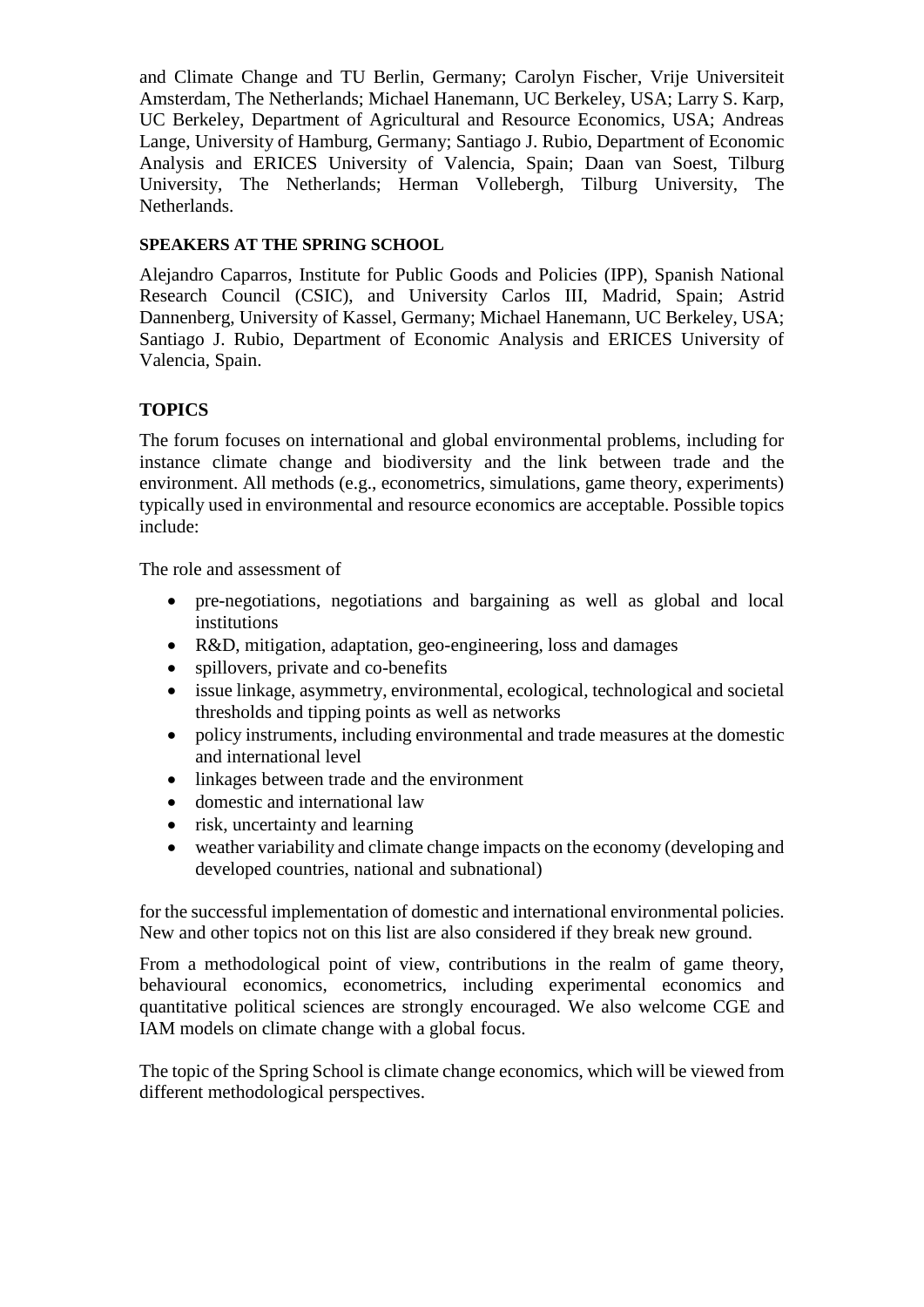and Climate Change and TU Berlin, Germany; Carolyn Fischer, Vrije Universiteit Amsterdam, The Netherlands; Michael Hanemann, UC Berkeley, USA; Larry S. Karp, UC Berkeley, Department of Agricultural and Resource Economics, USA; Andreas Lange, University of Hamburg, Germany; Santiago J. Rubio, Department of Economic Analysis and ERICES University of Valencia, Spain; Daan van Soest, Tilburg University, The Netherlands; Herman Vollebergh, Tilburg University, The Netherlands.

# **SPEAKERS AT THE SPRING SCHOOL**

Alejandro Caparros, Institute for Public Goods and Policies (IPP), Spanish National Research Council (CSIC), and University Carlos III, Madrid, Spain; Astrid Dannenberg, University of Kassel, Germany; Michael Hanemann, UC Berkeley, USA; Santiago J. Rubio, Department of Economic Analysis and ERICES University of Valencia, Spain.

# **TOPICS**

The forum focuses on international and global environmental problems, including for instance climate change and biodiversity and the link between trade and the environment. All methods (e.g., econometrics, simulations, game theory, experiments) typically used in environmental and resource economics are acceptable. Possible topics include:

The role and assessment of

- pre-negotiations, negotiations and bargaining as well as global and local institutions
- R&D, mitigation, adaptation, geo-engineering, loss and damages
- spillovers, private and co-benefits
- issue linkage, asymmetry, environmental, ecological, technological and societal thresholds and tipping points as well as networks
- policy instruments, including environmental and trade measures at the domestic and international level
- linkages between trade and the environment
- domestic and international law
- risk, uncertainty and learning
- weather variability and climate change impacts on the economy (developing and developed countries, national and subnational)

for the successful implementation of domestic and international environmental policies. New and other topics not on this list are also considered if they break new ground.

From a methodological point of view, contributions in the realm of game theory, behavioural economics, econometrics, including experimental economics and quantitative political sciences are strongly encouraged. We also welcome CGE and IAM models on climate change with a global focus.

The topic of the Spring School is climate change economics, which will be viewed from different methodological perspectives.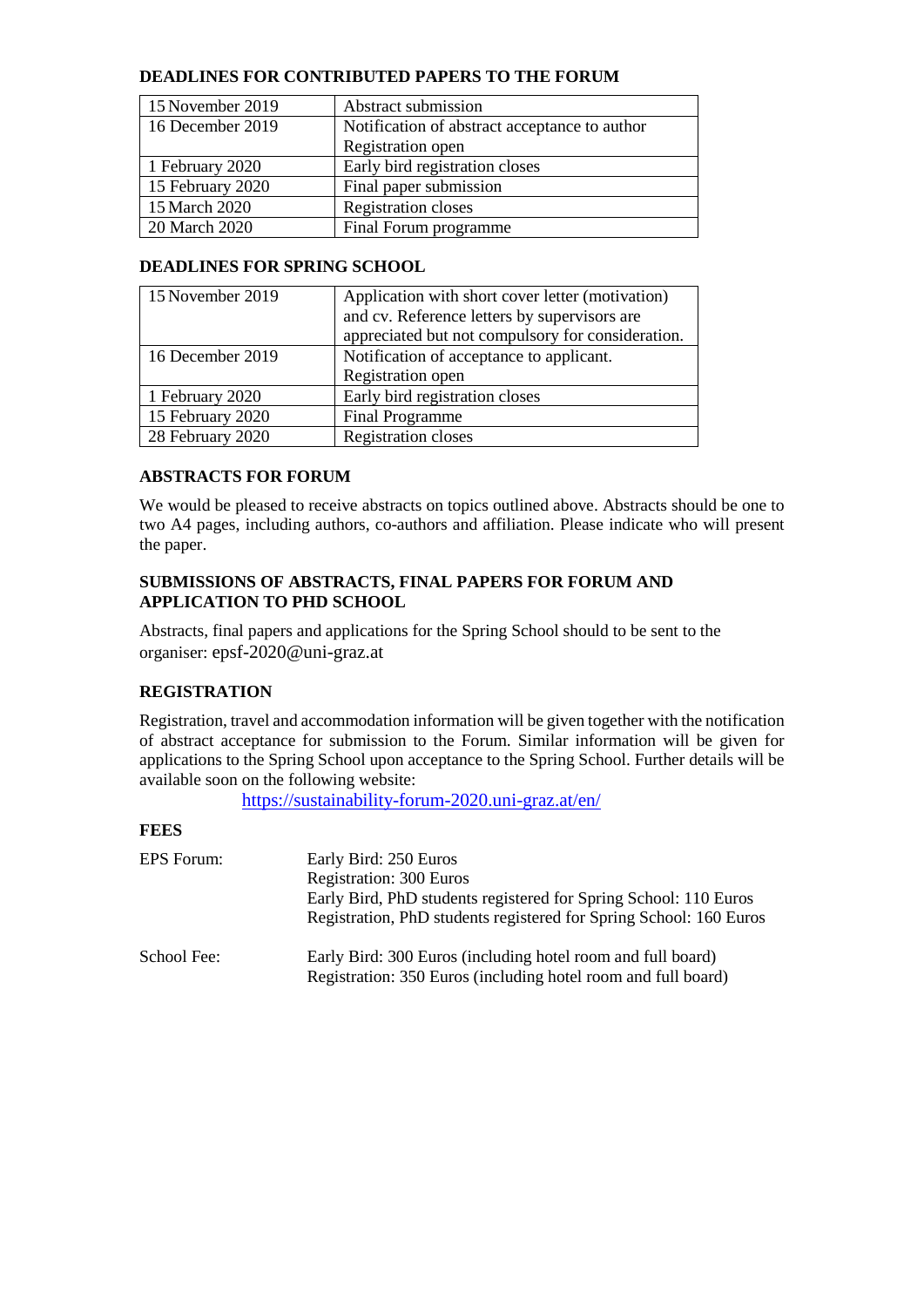#### **DEADLINES FOR CONTRIBUTED PAPERS TO THE FORUM**

| 15 November 2019 | Abstract submission                           |
|------------------|-----------------------------------------------|
| 16 December 2019 | Notification of abstract acceptance to author |
|                  | Registration open                             |
| 1 February 2020  | Early bird registration closes                |
| 15 February 2020 | Final paper submission                        |
| 15 March 2020    | <b>Registration closes</b>                    |
| 20 March 2020    | Final Forum programme                         |

#### **DEADLINES FOR SPRING SCHOOL**

| 15 November 2019 | Application with short cover letter (motivation)  |
|------------------|---------------------------------------------------|
|                  | and cv. Reference letters by supervisors are      |
|                  | appreciated but not compulsory for consideration. |
| 16 December 2019 | Notification of acceptance to applicant.          |
|                  | Registration open                                 |
| 1 February 2020  | Early bird registration closes                    |
| 15 February 2020 | <b>Final Programme</b>                            |
| 28 February 2020 | Registration closes                               |

#### **ABSTRACTS FOR FORUM**

We would be pleased to receive abstracts on topics outlined above. Abstracts should be one to two A4 pages, including authors, co-authors and affiliation. Please indicate who will present the paper.

#### **SUBMISSIONS OF ABSTRACTS, FINAL PAPERS FOR FORUM AND APPLICATION TO PHD SCHOOL**

Abstracts, final papers and applications for the Spring School should to be sent to the organiser: epsf-2020@uni-graz.at

# **REGISTRATION**

Registration, travel and accommodation information will be given together with the notification of abstract acceptance for submission to the Forum. Similar information will be given for applications to the Spring School upon acceptance to the Spring School. Further details will be available soon on the following website:

<https://sustainability-forum-2020.uni-graz.at/en/>

#### **FEES**

| EPS Forum:  | Early Bird: 250 Euros<br><b>Registration: 300 Euros</b><br>Early Bird, PhD students registered for Spring School: 110 Euros<br>Registration, PhD students registered for Spring School: 160 Euros |
|-------------|---------------------------------------------------------------------------------------------------------------------------------------------------------------------------------------------------|
| School Fee: | Early Bird: 300 Euros (including hotel room and full board)<br>Registration: 350 Euros (including hotel room and full board)                                                                      |